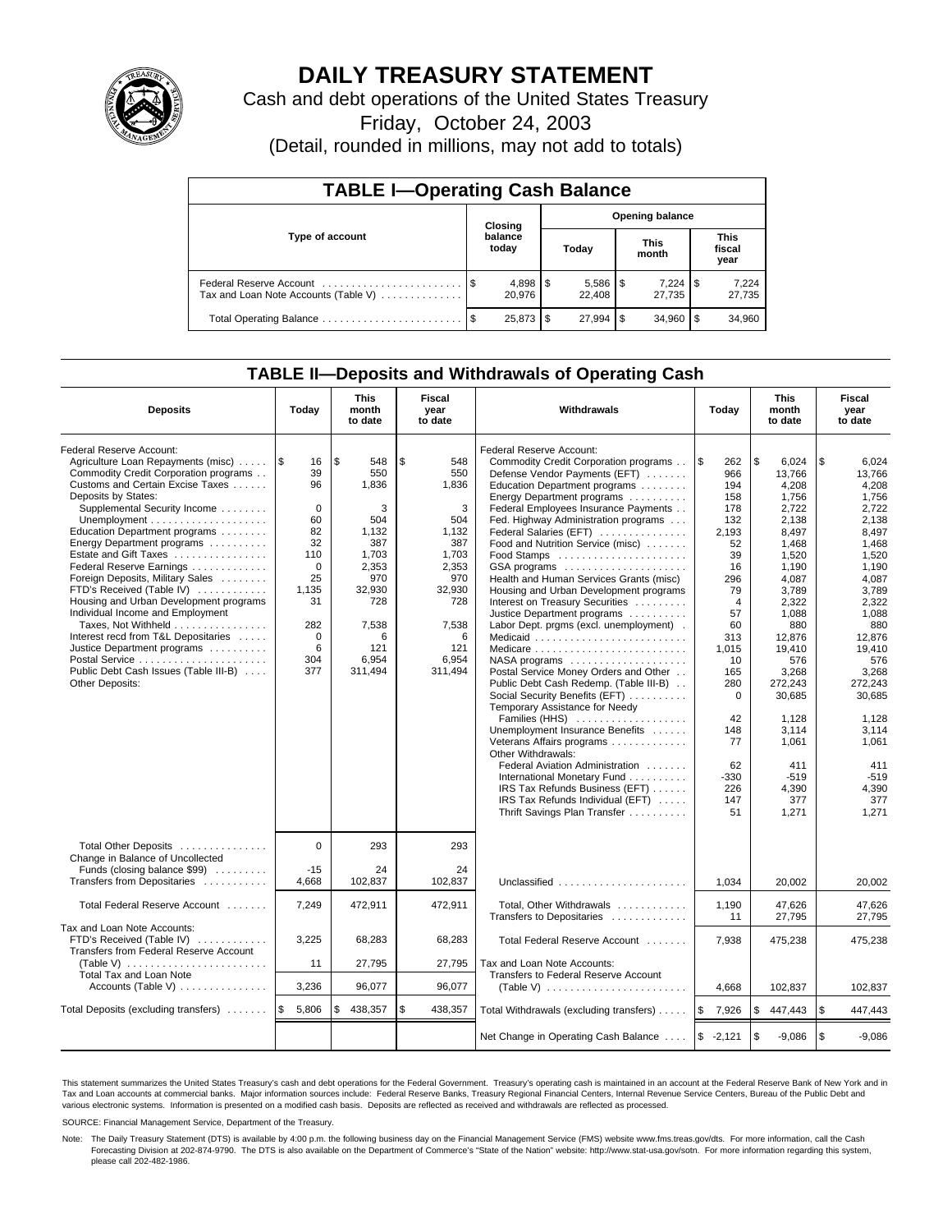

# **DAILY TREASURY STATEMENT**

Cash and debt operations of the United States Treasury

Friday, October 24, 2003

(Detail, rounded in millions, may not add to totals)

| <b>TABLE I-Operating Cash Balance</b>                           |      |                  |    |                          |  |                      |  |                               |  |  |
|-----------------------------------------------------------------|------|------------------|----|--------------------------|--|----------------------|--|-------------------------------|--|--|
| Type of account                                                 |      | Closing          |    | <b>Opening balance</b>   |  |                      |  |                               |  |  |
|                                                                 |      | balance<br>today |    | Today                    |  | <b>This</b><br>month |  | <b>This</b><br>fiscal<br>year |  |  |
| Federal Reserve Account<br>Tax and Loan Note Accounts (Table V) |      | 20.976           |    | $5,586$ \ \ \$<br>22.408 |  | 7,224<br>27.735      |  | 7,224<br>27,735               |  |  |
| Total Operating Balance                                         | - \$ | 25,873           | £. | $27,994$ \\$             |  | 34.960               |  | 34,960                        |  |  |

## **TABLE II—Deposits and Withdrawals of Operating Cash**

| <b>Deposits</b>                                                                                                                                                                                                                                                                                                                                                                                                                                                                                                                                                                                                                                                                                               | Today                                                                                                                                   | <b>This</b><br>month<br>to date                                                                                                          | Fiscal<br>Withdrawals<br>Today<br>year<br>to date                                                                                        |                                                                                                                                                                                                                                                                                                                                                                                                                                                                                                                                                                                                                                                                                                                                                                                                                                                                                                                                                                                                        | <b>This</b><br>month<br>to date                                                                                                                                                                                              | <b>Fiscal</b><br>year<br>to date                                                                                                                                                                                                                                       |                                                                                                                                                                                                                                                                        |
|---------------------------------------------------------------------------------------------------------------------------------------------------------------------------------------------------------------------------------------------------------------------------------------------------------------------------------------------------------------------------------------------------------------------------------------------------------------------------------------------------------------------------------------------------------------------------------------------------------------------------------------------------------------------------------------------------------------|-----------------------------------------------------------------------------------------------------------------------------------------|------------------------------------------------------------------------------------------------------------------------------------------|------------------------------------------------------------------------------------------------------------------------------------------|--------------------------------------------------------------------------------------------------------------------------------------------------------------------------------------------------------------------------------------------------------------------------------------------------------------------------------------------------------------------------------------------------------------------------------------------------------------------------------------------------------------------------------------------------------------------------------------------------------------------------------------------------------------------------------------------------------------------------------------------------------------------------------------------------------------------------------------------------------------------------------------------------------------------------------------------------------------------------------------------------------|------------------------------------------------------------------------------------------------------------------------------------------------------------------------------------------------------------------------------|------------------------------------------------------------------------------------------------------------------------------------------------------------------------------------------------------------------------------------------------------------------------|------------------------------------------------------------------------------------------------------------------------------------------------------------------------------------------------------------------------------------------------------------------------|
| Federal Reserve Account:<br>Agriculture Loan Repayments (misc)<br>Commodity Credit Corporation programs<br>Customs and Certain Excise Taxes<br>Deposits by States:<br>Supplemental Security Income<br>Unemployment $\dots\dots\dots\dots\dots\dots\dots$<br>Education Department programs<br>Energy Department programs<br>Estate and Gift Taxes<br>Federal Reserve Earnings<br>Foreign Deposits, Military Sales<br>FTD's Received (Table IV)<br>Housing and Urban Development programs<br>Individual Income and Employment<br>Taxes, Not Withheld<br>Interest recd from T&L Depositaries<br>Justice Department programs<br>Postal Service<br>Public Debt Cash Issues (Table III-B)<br><b>Other Deposits:</b> | ۱\$<br>16<br>39<br>96<br>$\Omega$<br>60<br>82<br>32<br>110<br>$\mathbf 0$<br>25<br>1.135<br>31<br>282<br>$\mathbf 0$<br>6<br>304<br>377 | \$<br>548<br>550<br>1,836<br>3<br>504<br>1,132<br>387<br>1,703<br>2,353<br>970<br>32,930<br>728<br>7,538<br>6<br>121<br>6,954<br>311,494 | \$<br>548<br>550<br>1.836<br>3<br>504<br>1,132<br>387<br>1,703<br>2,353<br>970<br>32,930<br>728<br>7,538<br>6<br>121<br>6.954<br>311,494 | Federal Reserve Account:<br>Commodity Credit Corporation programs<br>Defense Vendor Payments (EFT)<br>Education Department programs<br>Energy Department programs<br>Federal Employees Insurance Payments<br>Fed. Highway Administration programs<br>Federal Salaries (EFT)<br>Food and Nutrition Service (misc)<br>GSA programs<br>Health and Human Services Grants (misc)<br>Housing and Urban Development programs<br>Interest on Treasury Securities<br>Justice Department programs<br>Labor Dept. prgms (excl. unemployment).<br>Medicaid<br>NASA programs<br>Postal Service Money Orders and Other<br>Public Debt Cash Redemp. (Table III-B)<br>Social Security Benefits (EFT)<br>Temporary Assistance for Needy<br>Families (HHS)<br>Unemployment Insurance Benefits<br>Veterans Affairs programs<br>Other Withdrawals:<br>Federal Aviation Administration<br>International Monetary Fund<br>IRS Tax Refunds Business (EFT)<br>IRS Tax Refunds Individual (EFT)<br>Thrift Savings Plan Transfer | \$<br>262<br>966<br>194<br>158<br>178<br>132<br>2,193<br>52<br>39<br>16<br>296<br>79<br>$\overline{4}$<br>57<br>60<br>313<br>1.015<br>10<br>165<br>280<br>$\mathbf 0$<br>42<br>148<br>77<br>62<br>$-330$<br>226<br>147<br>51 | \$<br>6,024<br>13,766<br>4.208<br>1,756<br>2,722<br>2,138<br>8,497<br>1,468<br>1,520<br>1.190<br>4.087<br>3,789<br>2,322<br>1,088<br>880<br>12,876<br>19.410<br>576<br>3,268<br>272,243<br>30,685<br>1,128<br>3.114<br>1.061<br>411<br>$-519$<br>4,390<br>377<br>1,271 | \$<br>6,024<br>13,766<br>4.208<br>1,756<br>2,722<br>2,138<br>8,497<br>1,468<br>1,520<br>1.190<br>4.087<br>3,789<br>2,322<br>1,088<br>880<br>12,876<br>19.410<br>576<br>3,268<br>272,243<br>30,685<br>1,128<br>3.114<br>1.061<br>411<br>$-519$<br>4,390<br>377<br>1.271 |
| Total Other Deposits<br>Change in Balance of Uncollected<br>Funds (closing balance \$99)                                                                                                                                                                                                                                                                                                                                                                                                                                                                                                                                                                                                                      | $\Omega$<br>$-15$                                                                                                                       | 293<br>24                                                                                                                                | 293<br>24                                                                                                                                |                                                                                                                                                                                                                                                                                                                                                                                                                                                                                                                                                                                                                                                                                                                                                                                                                                                                                                                                                                                                        |                                                                                                                                                                                                                              |                                                                                                                                                                                                                                                                        |                                                                                                                                                                                                                                                                        |
| Transfers from Depositaries                                                                                                                                                                                                                                                                                                                                                                                                                                                                                                                                                                                                                                                                                   | 4,668                                                                                                                                   | 102,837                                                                                                                                  | 102,837                                                                                                                                  | Unclassified                                                                                                                                                                                                                                                                                                                                                                                                                                                                                                                                                                                                                                                                                                                                                                                                                                                                                                                                                                                           | 1.034                                                                                                                                                                                                                        | 20.002                                                                                                                                                                                                                                                                 | 20,002                                                                                                                                                                                                                                                                 |
| Total Federal Reserve Account                                                                                                                                                                                                                                                                                                                                                                                                                                                                                                                                                                                                                                                                                 | 7,249                                                                                                                                   | 472,911                                                                                                                                  | 472.911                                                                                                                                  | Total, Other Withdrawals<br>Transfers to Depositaries                                                                                                                                                                                                                                                                                                                                                                                                                                                                                                                                                                                                                                                                                                                                                                                                                                                                                                                                                  | 1,190<br>11                                                                                                                                                                                                                  | 47,626<br>27,795                                                                                                                                                                                                                                                       | 47.626<br>27,795                                                                                                                                                                                                                                                       |
| Tax and Loan Note Accounts:<br>FTD's Received (Table IV)<br>Transfers from Federal Reserve Account                                                                                                                                                                                                                                                                                                                                                                                                                                                                                                                                                                                                            | 3,225                                                                                                                                   | 68,283                                                                                                                                   | 68,283                                                                                                                                   | Total Federal Reserve Account                                                                                                                                                                                                                                                                                                                                                                                                                                                                                                                                                                                                                                                                                                                                                                                                                                                                                                                                                                          | 7,938                                                                                                                                                                                                                        | 475,238                                                                                                                                                                                                                                                                | 475,238                                                                                                                                                                                                                                                                |
| (Table V) $\ldots \ldots \ldots \ldots \ldots \ldots \ldots$<br>Total Tax and Loan Note                                                                                                                                                                                                                                                                                                                                                                                                                                                                                                                                                                                                                       | 11                                                                                                                                      | 27,795                                                                                                                                   | 27,795                                                                                                                                   | Tax and Loan Note Accounts:<br>Transfers to Federal Reserve Account                                                                                                                                                                                                                                                                                                                                                                                                                                                                                                                                                                                                                                                                                                                                                                                                                                                                                                                                    |                                                                                                                                                                                                                              |                                                                                                                                                                                                                                                                        |                                                                                                                                                                                                                                                                        |
| Accounts (Table V)                                                                                                                                                                                                                                                                                                                                                                                                                                                                                                                                                                                                                                                                                            | 3,236                                                                                                                                   | 96,077                                                                                                                                   | 96,077                                                                                                                                   | (Table V) $\ldots \ldots \ldots \ldots \ldots \ldots \ldots$                                                                                                                                                                                                                                                                                                                                                                                                                                                                                                                                                                                                                                                                                                                                                                                                                                                                                                                                           | 4.668                                                                                                                                                                                                                        | 102.837                                                                                                                                                                                                                                                                | 102,837                                                                                                                                                                                                                                                                |
| Total Deposits (excluding transfers) $\ldots \ldots$ \$                                                                                                                                                                                                                                                                                                                                                                                                                                                                                                                                                                                                                                                       | 5,806                                                                                                                                   | \$<br>438,357                                                                                                                            | \$<br>438,357                                                                                                                            | Total Withdrawals (excluding transfers)                                                                                                                                                                                                                                                                                                                                                                                                                                                                                                                                                                                                                                                                                                                                                                                                                                                                                                                                                                | l \$<br>7,926                                                                                                                                                                                                                | \$<br>447,443                                                                                                                                                                                                                                                          | \$<br>447,443                                                                                                                                                                                                                                                          |
|                                                                                                                                                                                                                                                                                                                                                                                                                                                                                                                                                                                                                                                                                                               |                                                                                                                                         |                                                                                                                                          |                                                                                                                                          | Net Change in Operating Cash Balance                                                                                                                                                                                                                                                                                                                                                                                                                                                                                                                                                                                                                                                                                                                                                                                                                                                                                                                                                                   | $$ -2,121$                                                                                                                                                                                                                   | \$<br>$-9,086$                                                                                                                                                                                                                                                         | l \$<br>$-9.086$                                                                                                                                                                                                                                                       |

This statement summarizes the United States Treasury's cash and debt operations for the Federal Government. Treasury's operating cash is maintained in an account at the Federal Reserve Bank of New York and in Tax and Loan accounts at commercial banks. Major information sources include: Federal Reserve Banks, Treasury Regional Financial Centers, Internal Revenue Service Centers, Bureau of the Public Debt and<br>various electronic s

SOURCE: Financial Management Service, Department of the Treasury.

Note: The Daily Treasury Statement (DTS) is available by 4:00 p.m. the following business day on the Financial Management Service (FMS) website www.fms.treas.gov/dts. For more information, call the Cash Forecasting Division at 202-874-9790. The DTS is also available on the Department of Commerce's "State of the Nation" website: http://www.stat-usa.gov/sotn. For more information regarding this system, please call 202-482-1986.